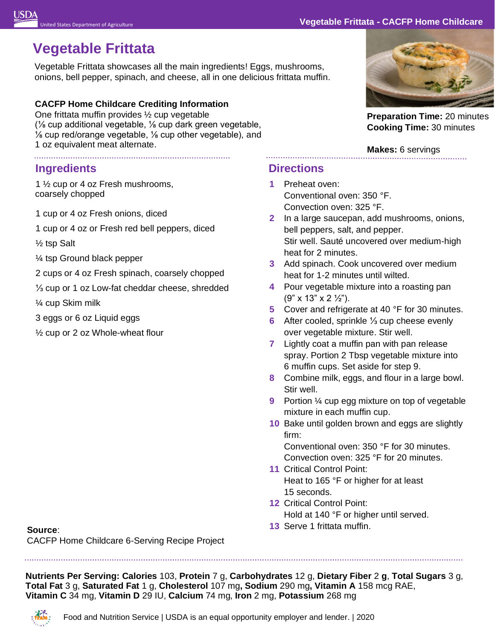## United States Department of Agriculture **Vegetable Frittata - – CACFP Home Childcare**

# **Vegetable Frittata**

Vegetable Frittata showcases all the main ingredients! Eggs, mushrooms, onions, bell pepper, spinach, and cheese, all in one delicious frittata muffin.

### **CACFP Home Childcare Crediting Information**

One frittata muffin provides ½ cup vegetable (⅛ cup additional vegetable, ⅛ cup dark green vegetable, ⅛ cup red/orange vegetable, ⅛ cup other vegetable), and 1 oz equivalent meat alternate.

# **Ingredients**

1 ½ cup or 4 oz Fresh mushrooms, coarsely chopped

- 1 cup or 4 oz Fresh onions, diced
- 1 cup or 4 oz or Fresh red bell peppers, diced
- ½ tsp Salt
- ¼ tsp Ground black pepper
- 2 cups or 4 oz Fresh spinach, coarsely chopped
- ⅓ cup or 1 oz Low-fat cheddar cheese, shredded
- ¼ cup Skim milk
- 3 eggs or 6 oz Liquid eggs
- ½ cup or 2 oz Whole-wheat flour

# **Directions**

- **1** Preheat oven: Conventional oven: 350 °F. Convection oven: 325 °F.
- **2** In a large saucepan, add mushrooms, onions, bell peppers, salt, and pepper. Stir well. Sauté uncovered over medium-high heat for 2 minutes.
- **3** Add spinach. Cook uncovered over medium heat for 1-2 minutes until wilted.
- **4** Pour vegetable mixture into a roasting pan (9" x 13" x 2 ½").
- **5** Cover and refrigerate at 40 °F for 30 minutes.
- **6** After cooled, sprinkle ⅓ cup cheese evenly over vegetable mixture. Stir well.
- **7** Lightly coat a muffin pan with pan release spray. Portion 2 Tbsp vegetable mixture into 6 muffin cups. Set aside for step 9.
- **8** Combine milk, eggs, and flour in a large bowl. Stir well.
- **9** Portion 1/4 cup egg mixture on top of vegetable mixture in each muffin cup.
- **10** Bake until golden brown and eggs are slightly firm:

Conventional oven: 350 °F for 30 minutes. Convection oven: 325 °F for 20 minutes.

- **11** Critical Control Point: Heat to 165 °F or higher for at least 15 seconds.
- **12** Critical Control Point: Hold at 140 °F or higher until served.
- **13** Serve 1 frittata muffin.

**Source**:

CACFP Home Childcare 6-Serving Recipe Project

 $\overline{a}$  **Nutrients Per Serving: Calories** 103, **Protein** 7 g, **Carbohydrates** 12 g, **Dietary Fiber** 2 **g**, **Total Sugars** 3 g, **Total Fat** 3 g, **Saturated Fat** 1 g, **Cholesterol** 107 mg**, Sodium** 290 mg**, Vitamin A** 158 mcg RAE,  **Vitamin C** 34 mg, **Vitamin D** 29 IU, **Calcium** 74 mg, **Iron** 2 mg, **Potassium** 268 mg





**Preparation Time:** 20 minutes **Cooking Time:** 30 minutes

## **Makes:** 6 servings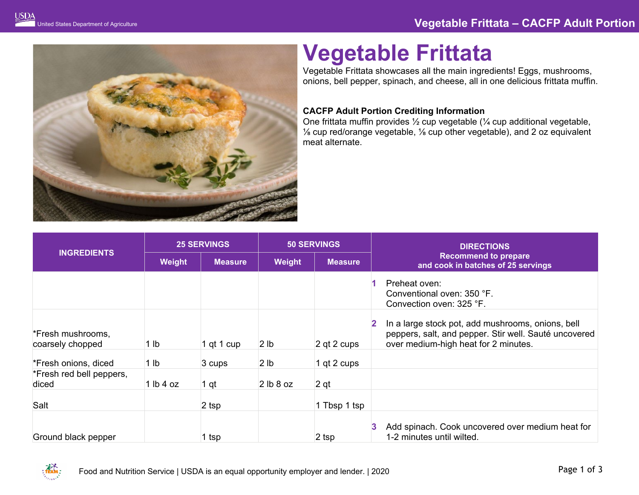

# **Vegetable Frittata**

Vegetable Frittata showcases all the main ingredients! Eggs, mushrooms, onions, bell pepper, spinach, and cheese, all in one delicious frittata muffin.

### **CACFP Adult Portion Crediting Information**

One frittata muffin provides ½ cup vegetable (¼ cup additional vegetable, ⅛ cup red/orange vegetable, ⅛ cup other vegetable), and 2 oz equivalent meat alternate.

| <b>INGREDIENTS</b>                    | <b>25 SERVINGS</b> |                | <b>50 SERVINGS</b> |                 | <b>DIRECTIONS</b>                                                                                                                                  |
|---------------------------------------|--------------------|----------------|--------------------|-----------------|----------------------------------------------------------------------------------------------------------------------------------------------------|
|                                       | Weight             | <b>Measure</b> | Weight             | <b>Measure</b>  | <b>Recommend to prepare</b><br>and cook in batches of 25 servings                                                                                  |
|                                       |                    |                |                    |                 | Preheat oven:<br>Conventional oven: 350 °F.<br>Convection oven: 325 °F.                                                                            |
| *Fresh mushrooms,<br>coarsely chopped | 1 lb               | 1 qt 1 cup     | 2 <sub>lb</sub>    | $2$ qt 2 cups   | In a large stock pot, add mushrooms, onions, bell<br>peppers, salt, and pepper. Stir well. Sauté uncovered<br>over medium-high heat for 2 minutes. |
| *Fresh onions, diced                  | 1 <sub>lb</sub>    | 3 cups         | 2 <sub>lb</sub>    | 1 qt 2 cups     |                                                                                                                                                    |
| *Fresh red bell peppers,<br>diced     | 1 lb 4 oz          | 1 qt           | 2 lb 8 oz          | 2 <sub>qt</sub> |                                                                                                                                                    |
| Salt                                  |                    | $2$ tsp        |                    | 1 Tbsp 1 tsp    |                                                                                                                                                    |
| Ground black pepper                   |                    | 1 tsp          |                    | 2 tsp           | Add spinach. Cook uncovered over medium heat for<br>1-2 minutes until wilted.                                                                      |

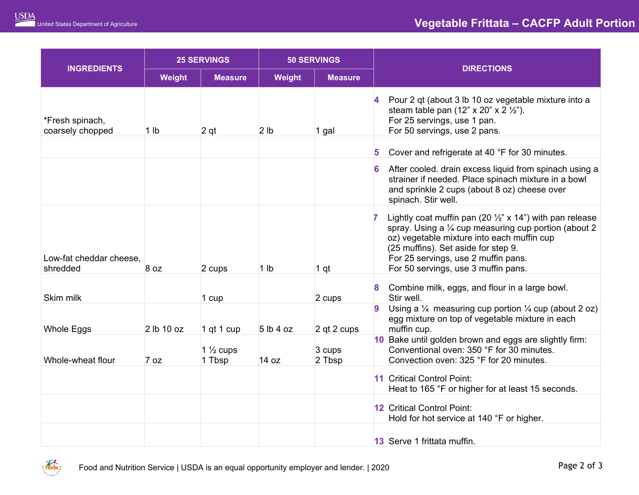|                                     | <b>25 SERVINGS</b> |                               | <b>50 SERVINGS</b> |                  |   |                                                                                                                                                                                                                                                                                                 |
|-------------------------------------|--------------------|-------------------------------|--------------------|------------------|---|-------------------------------------------------------------------------------------------------------------------------------------------------------------------------------------------------------------------------------------------------------------------------------------------------|
| <b>INGREDIENTS</b>                  | Weight             | <b>Measure</b>                | Weight             | <b>Measure</b>   |   | <b>DIRECTIONS</b>                                                                                                                                                                                                                                                                               |
| *Fresh spinach,<br>coarsely chopped | 1 <sub>lb</sub>    | 2 <sub>qt</sub>               | 2 <sub>lb</sub>    | 1 gal            |   | Pour 2 qt (about 3 lb 10 oz vegetable mixture into a<br>steam table pan $(12" \times 20" \times 2'2")$ .<br>For 25 servings, use 1 pan.<br>For 50 servings, use 2 pans.                                                                                                                         |
|                                     |                    |                               |                    |                  | 5 | Cover and refrigerate at 40 °F for 30 minutes.                                                                                                                                                                                                                                                  |
|                                     |                    |                               |                    |                  |   | After cooled. drain excess liquid from spinach using a<br>strainer if needed. Place spinach mixture in a bowl<br>and sprinkle 2 cups (about 8 oz) cheese over<br>spinach. Stir well.                                                                                                            |
| Low-fat cheddar cheese,<br>shredded | 8 oz               | 2 cups                        | 1 <sub>lb</sub>    | 1 <sub>qt</sub>  |   | Lightly coat muffin pan (20 $\frac{1}{2}$ " x 14") with pan release<br>spray. Using a 1/4 cup measuring cup portion (about 2<br>oz) vegetable mixture into each muffin cup<br>(25 muffins). Set aside for step 9.<br>For 25 servings, use 2 muffin pans.<br>For 50 servings, use 3 muffin pans. |
| Skim milk                           |                    | 1 cup                         |                    | 2 cups           |   | Combine milk, eggs, and flour in a large bowl.<br>Stir well.                                                                                                                                                                                                                                    |
| Whole Eggs                          | 2 lb 10 oz         | 1 qt 1 cup                    | 5 lb 4 oz          | 2 qt 2 cups      | 9 | Using a $\frac{1}{4}$ measuring cup portion $\frac{1}{4}$ cup (about 2 oz)<br>egg mixture on top of vegetable mixture in each<br>muffin cup.                                                                                                                                                    |
| Whole-wheat flour                   | 7 oz               | $1\frac{1}{2}$ cups<br>1 Tbsp | 14 oz              | 3 cups<br>2 Tbsp |   | 10 Bake until golden brown and eggs are slightly firm:<br>Conventional oven: 350 °F for 30 minutes.<br>Convection oven: 325 °F for 20 minutes.                                                                                                                                                  |
|                                     |                    |                               |                    |                  |   | 11 Critical Control Point:<br>Heat to 165 °F or higher for at least 15 seconds.                                                                                                                                                                                                                 |
|                                     |                    |                               |                    |                  |   | 12 Critical Control Point:<br>Hold for hot service at 140 °F or higher.                                                                                                                                                                                                                         |
|                                     |                    |                               |                    |                  |   | 13 Serve 1 frittata muffin.                                                                                                                                                                                                                                                                     |